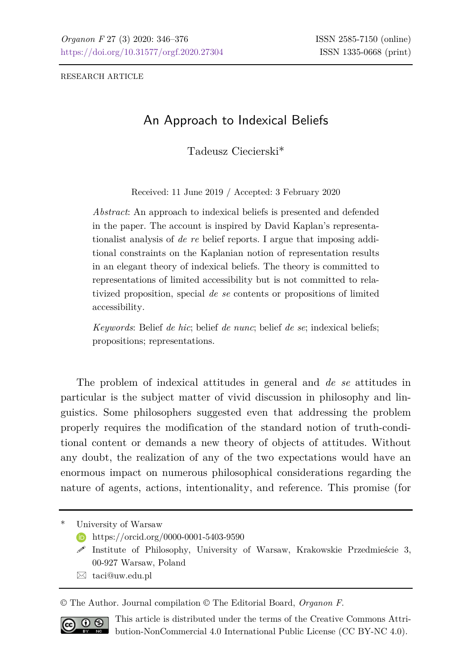RESEARCH ARTICLE

# An Approach to Indexical Beliefs

Tadeusz Ciecierski\*

Received: 11 June 2019 / Accepted: 3 February 2020

*Abstract*: An approach to indexical beliefs is presented and defended in the paper. The account is inspired by David Kaplan's representationalist analysis of *de re* belief reports. I argue that imposing additional constraints on the Kaplanian notion of representation results in an elegant theory of indexical beliefs. The theory is committed to representations of limited accessibility but is not committed to relativized proposition, special *de se* contents or propositions of limited accessibility.

*Keywords*: Belief *de hic*; belief *de nunc*; belief *de se*; indexical beliefs; propositions; representations.

The problem of indexical attitudes in general and *de se* attitudes in particular is the subject matter of vivid discussion in philosophy and linguistics. Some philosophers suggested even that addressing the problem properly requires the modification of the standard notion of truth-conditional content or demands a new theory of objects of attitudes. Without any doubt, the realization of any of the two expectations would have an enormous impact on numerous philosophical considerations regarding the nature of agents, actions, intentionality, and reference. This promise (for

University of Warsaw

- **<https://orcid.org/0000-0001-5403-9590>**
- $\mathscr S$  Institute of Philosophy, University of Warsaw, Krakowskie Przedmieście 3, 00-927 Warsaw, Poland
- $\boxtimes$  [taci@uw.edu.pl](mailto:taci@uw.edu.pl)

© The Author. Journal compilation © The Editorial Board, *Organon F*.



This article is distributed under the terms of the Creative Commons Attribution-NonCommercial 4.0 International Public License (CC BY-NC 4.0).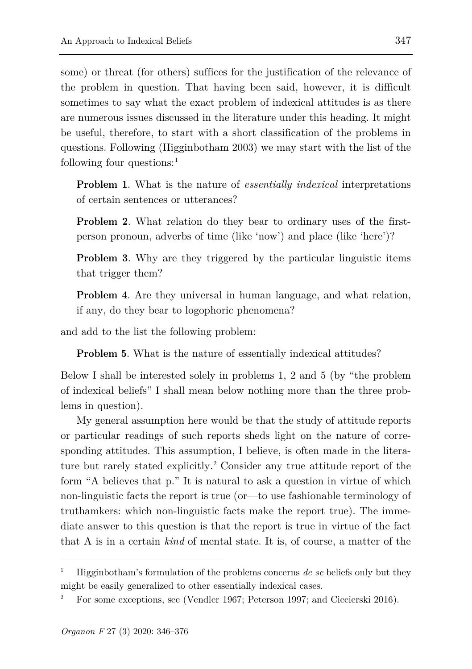some) or threat (for others) suffices for the justification of the relevance of the problem in question. That having been said, however, it is difficult sometimes to say what the exact problem of indexical attitudes is as there are numerous issues discussed in the literature under this heading. It might be useful, therefore, to start with a short classification of the problems in questions. Following (Higginbotham 2003) we may start with the list of the following four questions: [1](#page-1-0)

**Problem 1**. What is the nature of *essentially indexical* interpretations of certain sentences or utterances?

**Problem 2**. What relation do they bear to ordinary uses of the firstperson pronoun, adverbs of time (like 'now') and place (like 'here')?

**Problem 3**. Why are they triggered by the particular linguistic items that trigger them?

**Problem 4**. Are they universal in human language, and what relation, if any, do they bear to logophoric phenomena?

and add to the list the following problem:

**Problem 5**. What is the nature of essentially indexical attitudes?

Below I shall be interested solely in problems 1, 2 and 5 (by "the problem of indexical beliefs" I shall mean below nothing more than the three problems in question).

My general assumption here would be that the study of attitude reports or particular readings of such reports sheds light on the nature of corresponding attitudes. This assumption, I believe, is often made in the literature but rarely stated explicitly. [2](#page-1-1) Consider any true attitude report of the form "A believes that p." It is natural to ask a question in virtue of which non-linguistic facts the report is true (or—to use fashionable terminology of truthamkers: which non-linguistic facts make the report true). The immediate answer to this question is that the report is true in virtue of the fact that A is in a certain *kind* of mental state. It is, of course, a matter of the

<span id="page-1-0"></span><sup>1</sup> Higginbotham's formulation of the problems concerns *de se* beliefs only but they might be easily generalized to other essentially indexical cases.

<span id="page-1-1"></span><sup>2</sup> For some exceptions, see (Vendler 1967; Peterson 1997; and Ciecierski 2016).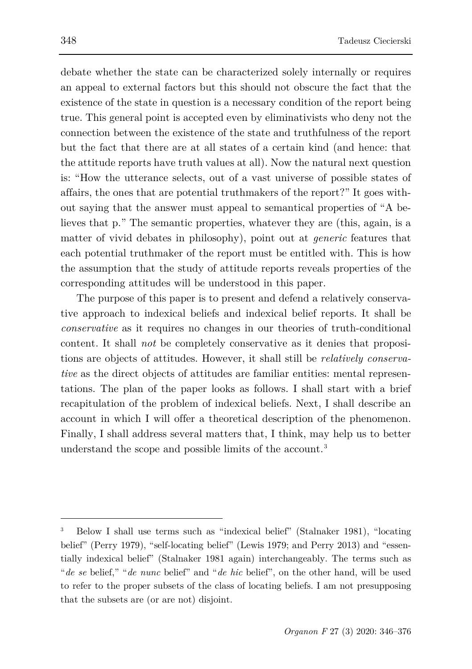debate whether the state can be characterized solely internally or requires an appeal to external factors but this should not obscure the fact that the existence of the state in question is a necessary condition of the report being true. This general point is accepted even by eliminativists who deny not the connection between the existence of the state and truthfulness of the report but the fact that there are at all states of a certain kind (and hence: that the attitude reports have truth values at all). Now the natural next question is: "How the utterance selects, out of a vast universe of possible states of affairs, the ones that are potential truthmakers of the report?" It goes without saying that the answer must appeal to semantical properties of "A believes that p." The semantic properties, whatever they are (this, again, is a matter of vivid debates in philosophy), point out at *generic* features that each potential truthmaker of the report must be entitled with. This is how the assumption that the study of attitude reports reveals properties of the corresponding attitudes will be understood in this paper.

The purpose of this paper is to present and defend a relatively conservative approach to indexical beliefs and indexical belief reports. It shall be *conservative* as it requires no changes in our theories of truth-conditional content. It shall *not* be completely conservative as it denies that propositions are objects of attitudes. However, it shall still be *relatively conservative* as the direct objects of attitudes are familiar entities: mental representations. The plan of the paper looks as follows. I shall start with a brief recapitulation of the problem of indexical beliefs. Next, I shall describe an account in which I will offer a theoretical description of the phenomenon. Finally, I shall address several matters that, I think, may help us to better understand the scope and possible limits of the account. [3](#page-2-0)

<span id="page-2-0"></span><sup>3</sup> Below I shall use terms such as "indexical belief" (Stalnaker 1981), "locating belief" (Perry 1979), "self-locating belief" (Lewis 1979; and Perry 2013) and "essentially indexical belief" (Stalnaker 1981 again) interchangeably. The terms such as "*de se* belief," "*de nunc* belief" and "*de hic* belief", on the other hand, will be used to refer to the proper subsets of the class of locating beliefs. I am not presupposing that the subsets are (or are not) disjoint.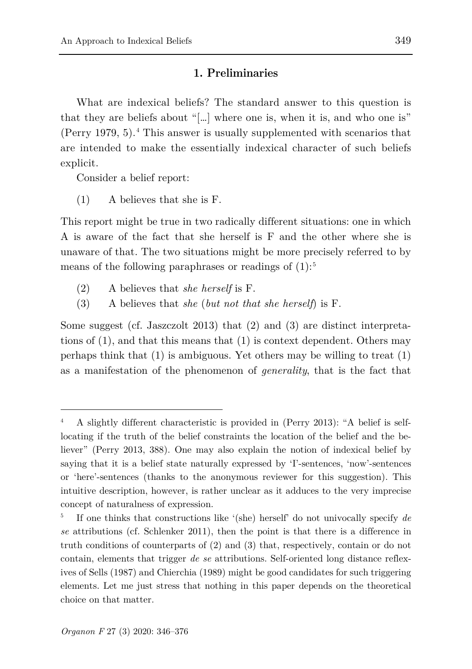#### **1. Preliminaries**

What are indexical beliefs? The standard answer to this question is that they are beliefs about "[…] where one is, when it is, and who one is" (Perry 1979, 5). [4](#page-3-0) This answer is usually supplemented with scenarios that are intended to make the essentially indexical character of such beliefs explicit.

Consider a belief report:

(1) A believes that she is F.

This report might be true in two radically different situations: one in which A is aware of the fact that she herself is F and the other where she is unaware of that. The two situations might be more precisely referred to by means of the following paraphrases or readings of  $(1)$ :<sup>[5](#page-3-1)</sup>

- (2) A believes that *she herself* is F.
- (3) A believes that *she* (*but not that she herself*) is F.

Some suggest (cf. Jaszczolt 2013) that (2) and (3) are distinct interpretations of (1), and that this means that (1) is context dependent. Others may perhaps think that (1) is ambiguous. Yet others may be willing to treat (1) as a manifestation of the phenomenon of *generality*, that is the fact that

<span id="page-3-0"></span><sup>4</sup> A slightly different characteristic is provided in (Perry 2013): "A belief is selflocating if the truth of the belief constraints the location of the belief and the believer" (Perry 2013, 388). One may also explain the notion of indexical belief by saying that it is a belief state naturally expressed by 'I'-sentences, 'now'-sentences or 'here'-sentences (thanks to the anonymous reviewer for this suggestion). This intuitive description, however, is rather unclear as it adduces to the very imprecise concept of naturalness of expression.

<span id="page-3-1"></span><sup>5</sup> If one thinks that constructions like '(she) herself' do not univocally specify *de se* attributions (cf. Schlenker 2011), then the point is that there is a difference in truth conditions of counterparts of (2) and (3) that, respectively, contain or do not contain, elements that trigger *de se* attributions. Self-oriented long distance reflexives of Sells (1987) and Chierchia (1989) might be good candidates for such triggering elements. Let me just stress that nothing in this paper depends on the theoretical choice on that matter.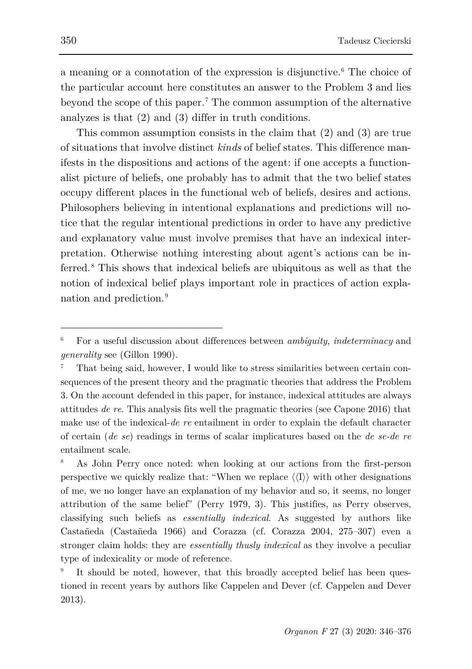a meaning or a connotation of the expression is disjunctive. [6](#page-4-0) The choice of the particular account here constitutes an answer to the Problem 3 and lies beyond the scope of this paper. [7](#page-4-1) The common assumption of the alternative analyzes is that (2) and (3) differ in truth conditions.

This common assumption consists in the claim that (2) and (3) are true of situations that involve distinct *kinds* of belief states. This difference manifests in the dispositions and actions of the agent: if one accepts a functionalist picture of beliefs, one probably has to admit that the two belief states occupy different places in the functional web of beliefs, desires and actions. Philosophers believing in intentional explanations and predictions will notice that the regular intentional predictions in order to have any predictive and explanatory value must involve premises that have an indexical interpretation. Otherwise nothing interesting about agent's actions can be inferred. [8](#page-4-2) This shows that indexical beliefs are ubiquitous as well as that the notion of indexical belief plays important role in practices of action explanation and prediction. [9](#page-4-3)

<span id="page-4-0"></span><sup>6</sup> For a useful discussion about differences between *ambiguity*, *indeterminacy* and *generality* see (Gillon 1990).

<span id="page-4-1"></span><sup>7</sup> That being said, however, I would like to stress similarities between certain consequences of the present theory and the pragmatic theories that address the Problem 3. On the account defended in this paper, for instance, indexical attitudes are always attitudes *de re*. This analysis fits well the pragmatic theories (see Capone 2016) that make use of the indexical-*de re* entailment in order to explain the default character of certain (*de se*) readings in terms of scalar implicatures based on the *de se-de re* entailment scale.

<span id="page-4-2"></span><sup>8</sup> As John Perry once noted: when looking at our actions from the first-person perspective we quickly realize that: "When we replace  $\langle\langle I \rangle\rangle$  with other designations of me, we no longer have an explanation of my behavior and so, it seems, no longer attribution of the same belief" (Perry 1979, 3). This justifies, as Perry observes, classifying such beliefs as *essentially indexical*. As suggested by authors like Castañeda (Castañeda 1966) and Corazza (cf. Corazza 2004, 275–307) even a stronger claim holds: they are *essentially thusly indexical* as they involve a peculiar type of indexicality or mode of reference.

<span id="page-4-3"></span>It should be noted, however, that this broadly accepted belief has been questioned in recent years by authors like Cappelen and Dever (cf. Cappelen and Dever 2013).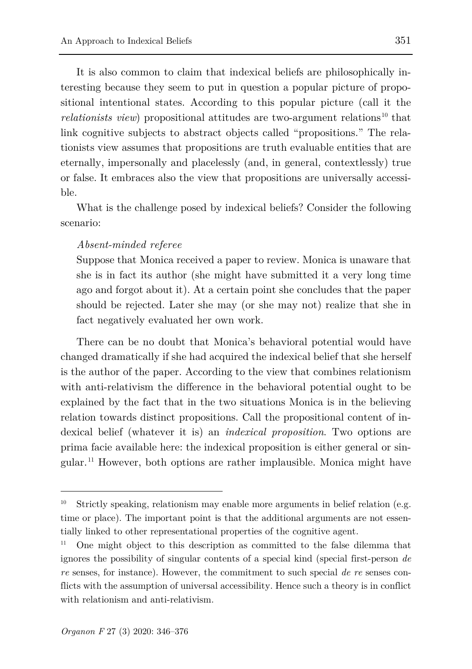It is also common to claim that indexical beliefs are philosophically interesting because they seem to put in question a popular picture of propositional intentional states. According to this popular picture (call it the *relationists view*) propositional attitudes are two-argument relations<sup>[10](#page-5-0)</sup> that link cognitive subjects to abstract objects called "propositions." The relationists view assumes that propositions are truth evaluable entities that are eternally, impersonally and placelessly (and, in general, contextlessly) true or false. It embraces also the view that propositions are universally accessible.

What is the challenge posed by indexical beliefs? Consider the following scenario:

#### *Absent-minded referee*

Suppose that Monica received a paper to review. Monica is unaware that she is in fact its author (she might have submitted it a very long time ago and forgot about it). At a certain point she concludes that the paper should be rejected. Later she may (or she may not) realize that she in fact negatively evaluated her own work.

There can be no doubt that Monica's behavioral potential would have changed dramatically if she had acquired the indexical belief that she herself is the author of the paper. According to the view that combines relationism with anti-relativism the difference in the behavioral potential ought to be explained by the fact that in the two situations Monica is in the believing relation towards distinct propositions. Call the propositional content of indexical belief (whatever it is) an *indexical proposition*. Two options are prima facie available here: the indexical proposition is either general or singular. [11](#page-5-1) However, both options are rather implausible. Monica might have

<span id="page-5-0"></span><sup>&</sup>lt;sup>10</sup> Strictly speaking, relationism may enable more arguments in belief relation (e.g. time or place). The important point is that the additional arguments are not essentially linked to other representational properties of the cognitive agent.

<span id="page-5-1"></span><sup>11</sup> One might object to this description as committed to the false dilemma that ignores the possibility of singular contents of a special kind (special first-person *de re* senses, for instance). However, the commitment to such special *de re* senses conflicts with the assumption of universal accessibility. Hence such a theory is in conflict with relationism and anti-relativism.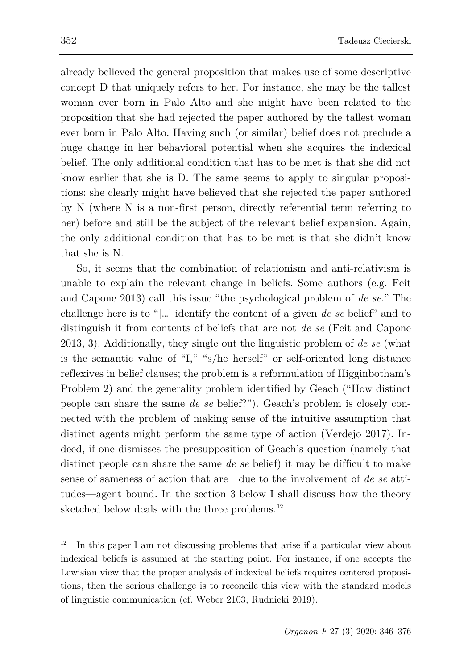already believed the general proposition that makes use of some descriptive concept D that uniquely refers to her. For instance, she may be the tallest woman ever born in Palo Alto and she might have been related to the proposition that she had rejected the paper authored by the tallest woman ever born in Palo Alto. Having such (or similar) belief does not preclude a huge change in her behavioral potential when she acquires the indexical belief. The only additional condition that has to be met is that she did not know earlier that she is D. The same seems to apply to singular propositions: she clearly might have believed that she rejected the paper authored by N (where N is a non-first person, directly referential term referring to her) before and still be the subject of the relevant belief expansion. Again, the only additional condition that has to be met is that she didn't know that she is N.

So, it seems that the combination of relationism and anti-relativism is unable to explain the relevant change in beliefs. Some authors (e.g. Feit and Capone 2013) call this issue "the psychological problem of *de se*." The challenge here is to "[…] identify the content of a given *de se* belief" and to distinguish it from contents of beliefs that are not *de se* (Feit and Capone 2013, 3). Additionally, they single out the linguistic problem of *de se* (what is the semantic value of "I," "s/he herself" or self-oriented long distance reflexives in belief clauses; the problem is a reformulation of Higginbotham's Problem 2) and the generality problem identified by Geach ("How distinct people can share the same *de se* belief?"). Geach's problem is closely connected with the problem of making sense of the intuitive assumption that distinct agents might perform the same type of action (Verdejo 2017). Indeed, if one dismisses the presupposition of Geach's question (namely that distinct people can share the same *de se* belief) it may be difficult to make sense of sameness of action that are—due to the involvement of *de se* attitudes—agent bound. In the section 3 below I shall discuss how the theory sketched below deals with the three problems.<sup>[12](#page-6-0)</sup>

<span id="page-6-0"></span><sup>12</sup> In this paper I am not discussing problems that arise if a particular view about indexical beliefs is assumed at the starting point. For instance, if one accepts the Lewisian view that the proper analysis of indexical beliefs requires centered propositions, then the serious challenge is to reconcile this view with the standard models of linguistic communication (cf. Weber 2103; Rudnicki 2019).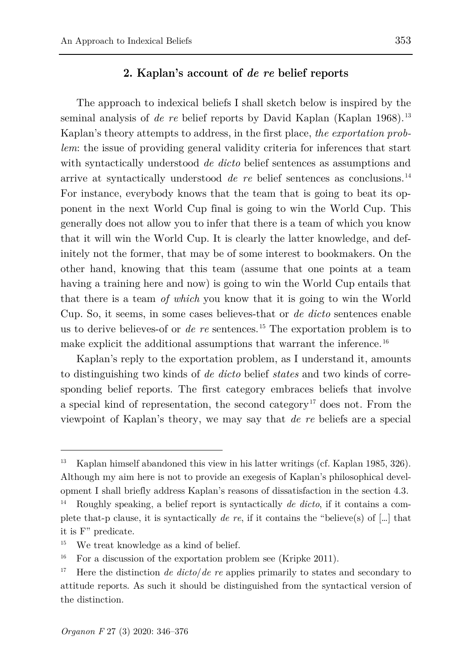# **2. Kaplan's account of** *de re* **belief reports**

The approach to indexical beliefs I shall sketch below is inspired by the seminal analysis of *de re* belief reports by David Kaplan (Kaplan 1968). [13](#page-7-0) Kaplan's theory attempts to address, in the first place, *the exportation problem*: the issue of providing general validity criteria for inferences that start with syntactically understood *de dicto* belief sentences as assumptions and arrive at syntactically understood *de re* belief sentences as conclusions. [14](#page-7-1) For instance, everybody knows that the team that is going to beat its opponent in the next World Cup final is going to win the World Cup. This generally does not allow you to infer that there is a team of which you know that it will win the World Cup. It is clearly the latter knowledge, and definitely not the former, that may be of some interest to bookmakers. On the other hand, knowing that this team (assume that one points at a team having a training here and now) is going to win the World Cup entails that that there is a team *of which* you know that it is going to win the World Cup. So, it seems, in some cases believes-that or *de dicto* sentences enable us to derive believes-of or *de re* sentences. [15](#page-7-2) The exportation problem is to make explicit the additional assumptions that warrant the inference.<sup>[16](#page-7-3)</sup>

Kaplan's reply to the exportation problem, as I understand it, amounts to distinguishing two kinds of *de dicto* belief *states* and two kinds of corresponding belief reports. The first category embraces beliefs that involve a special kind of representation, the second category<sup>[17](#page-7-4)</sup> does not. From the viewpoint of Kaplan's theory, we may say that *de re* beliefs are a special

<span id="page-7-0"></span><sup>&</sup>lt;sup>13</sup> Kaplan himself abandoned this view in his latter writings (cf. Kaplan 1985, 326). Although my aim here is not to provide an exegesis of Kaplan's philosophical development I shall briefly address Kaplan's reasons of dissatisfaction in the section 4.3.

<span id="page-7-1"></span><sup>14</sup> Roughly speaking, a belief report is syntactically *de dicto*, if it contains a complete that-p clause, it is syntactically *de re*, if it contains the "believe(s) of […] that it is F" predicate.

<span id="page-7-2"></span>We treat knowledge as a kind of belief.

<span id="page-7-3"></span><sup>&</sup>lt;sup>16</sup> For a discussion of the exportation problem see (Kripke 2011).

<span id="page-7-4"></span><sup>&</sup>lt;sup>17</sup> Here the distinction *de dicto/de re* applies primarily to states and secondary to attitude reports. As such it should be distinguished from the syntactical version of the distinction.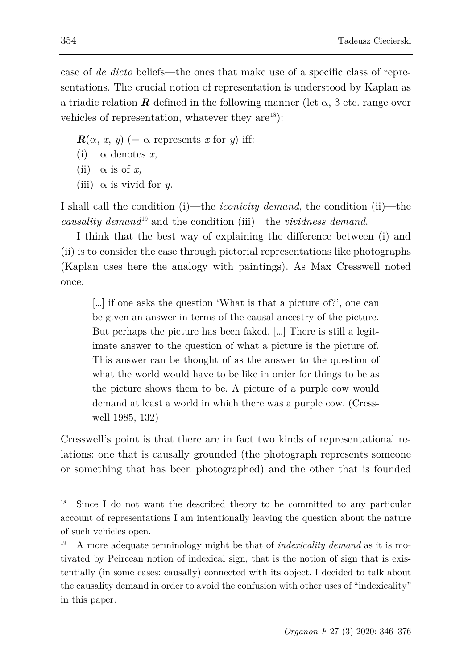case of *de dicto* beliefs—the ones that make use of a specific class of representations. The crucial notion of representation is understood by Kaplan as a triadic relation **R** defined in the following manner (let  $\alpha$ ,  $\beta$  etc. range over vehicles of representation, whatever they are  $(18)$  $(18)$ :

- $R(\alpha, x, y)$  (=  $\alpha$  represents *x* for *y*) iff:
- (i)  $\alpha$  denotes  $x$ .
- (ii)  $\alpha$  is of *x*,
- (iii)  $\alpha$  is vivid for *y*.

I shall call the condition (i)—the *iconicity demand*, the condition (ii)—the *causality demand*[19](#page-8-1) and the condition (iii)—the *vividness demand*.

I think that the best way of explaining the difference between (i) and (ii) is to consider the case through pictorial representations like photographs (Kaplan uses here the analogy with paintings). As Max Cresswell noted once:

[…] if one asks the question 'What is that a picture of?', one can be given an answer in terms of the causal ancestry of the picture. But perhaps the picture has been faked. […] There is still a legitimate answer to the question of what a picture is the picture of. This answer can be thought of as the answer to the question of what the world would have to be like in order for things to be as the picture shows them to be. A picture of a purple cow would demand at least a world in which there was a purple cow. (Cresswell 1985, 132)

Cresswell's point is that there are in fact two kinds of representational relations: one that is causally grounded (the photograph represents someone or something that has been photographed) and the other that is founded

<span id="page-8-0"></span><sup>&</sup>lt;sup>18</sup> Since I do not want the described theory to be committed to any particular account of representations I am intentionally leaving the question about the nature of such vehicles open.

<span id="page-8-1"></span><sup>19</sup> A more adequate terminology might be that of *indexicality demand* as it is motivated by Peircean notion of indexical sign, that is the notion of sign that is existentially (in some cases: causally) connected with its object. I decided to talk about the causality demand in order to avoid the confusion with other uses of "indexicality" in this paper.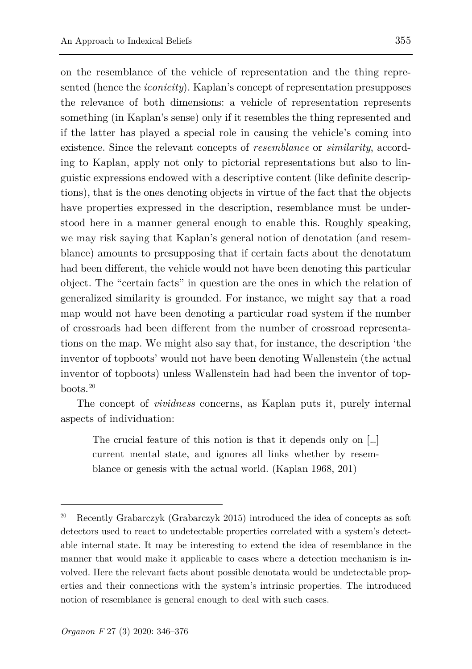on the resemblance of the vehicle of representation and the thing represented (hence the *iconicity*). Kaplan's concept of representation presupposes the relevance of both dimensions: a vehicle of representation represents something (in Kaplan's sense) only if it resembles the thing represented and if the latter has played a special role in causing the vehicle's coming into existence. Since the relevant concepts of *resemblance* or *similarity*, according to Kaplan, apply not only to pictorial representations but also to linguistic expressions endowed with a descriptive content (like definite descriptions), that is the ones denoting objects in virtue of the fact that the objects have properties expressed in the description, resemblance must be understood here in a manner general enough to enable this. Roughly speaking, we may risk saying that Kaplan's general notion of denotation (and resemblance) amounts to presupposing that if certain facts about the denotatum had been different, the vehicle would not have been denoting this particular object. The "certain facts" in question are the ones in which the relation of generalized similarity is grounded. For instance, we might say that a road map would not have been denoting a particular road system if the number of crossroads had been different from the number of crossroad representations on the map. We might also say that, for instance, the description 'the inventor of topboots' would not have been denoting Wallenstein (the actual inventor of topboots) unless Wallenstein had had been the inventor of topboots. [20](#page-9-0)

The concept of *vividness* concerns, as Kaplan puts it, purely internal aspects of individuation:

The crucial feature of this notion is that it depends only on […] current mental state, and ignores all links whether by resemblance or genesis with the actual world. (Kaplan 1968, 201)

<span id="page-9-0"></span><sup>&</sup>lt;sup>20</sup> Recently Grabarczyk (Grabarczyk 2015) introduced the idea of concepts as soft detectors used to react to undetectable properties correlated with a system's detectable internal state. It may be interesting to extend the idea of resemblance in the manner that would make it applicable to cases where a detection mechanism is involved. Here the relevant facts about possible denotata would be undetectable properties and their connections with the system's intrinsic properties. The introduced notion of resemblance is general enough to deal with such cases.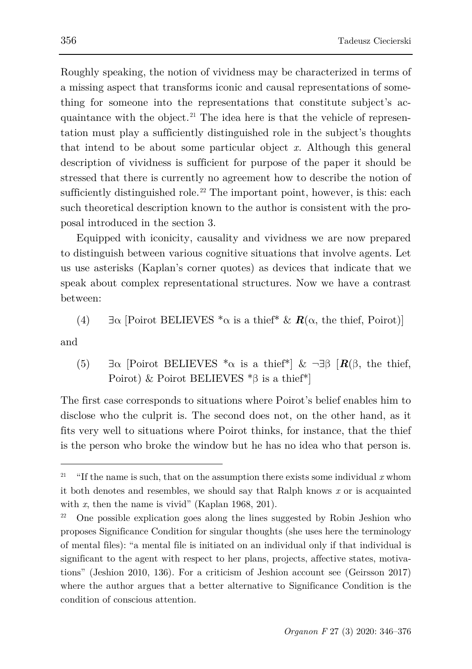Roughly speaking, the notion of vividness may be characterized in terms of a missing aspect that transforms iconic and causal representations of something for someone into the representations that constitute subject's acquaintance with the object. [21](#page-10-0) The idea here is that the vehicle of representation must play a sufficiently distinguished role in the subject's thoughts that intend to be about some particular object *x.* Although this general description of vividness is sufficient for purpose of the paper it should be stressed that there is currently no agreement how to describe the notion of sufficiently distinguished role.<sup>[22](#page-10-1)</sup> The important point, however, is this: each such theoretical description known to the author is consistent with the proposal introduced in the section 3.

Equipped with iconicity, causality and vividness we are now prepared to distinguish between various cognitive situations that involve agents. Let us use asterisks (Kaplan's corner quotes) as devices that indicate that we speak about complex representational structures. Now we have a contrast between:

(4)  $\exists \alpha$  [Poirot BELIEVES  $^*\alpha$  is a thief<sup>\*</sup> &  $\mathbf{R}(\alpha)$ , the thief, Poirot)]

and

ł

(5) ∃α [Poirot BELIEVES \*α is a thief\*] & ¬∃β [*R*(β, the thief, Poirot) & Poirot BELIEVES \*β is a thief\*]

The first case corresponds to situations where Poirot's belief enables him to disclose who the culprit is. The second does not, on the other hand, as it fits very well to situations where Poirot thinks, for instance, that the thief is the person who broke the window but he has no idea who that person is.

<span id="page-10-0"></span><sup>&</sup>lt;sup>21</sup> "If the name is such, that on the assumption there exists some individual  $x$  whom it both denotes and resembles, we should say that Ralph knows *x* or is acquainted with *x*, then the name is vivid" (Kaplan 1968, 201).

<span id="page-10-1"></span><sup>&</sup>lt;sup>22</sup> One possible explication goes along the lines suggested by Robin Jeshion who proposes Significance Condition for singular thoughts (she uses here the terminology of mental files): "a mental file is initiated on an individual only if that individual is significant to the agent with respect to her plans, projects, affective states, motivations" (Jeshion 2010, 136). For a criticism of Jeshion account see (Geirsson 2017) where the author argues that a better alternative to Significance Condition is the condition of conscious attention.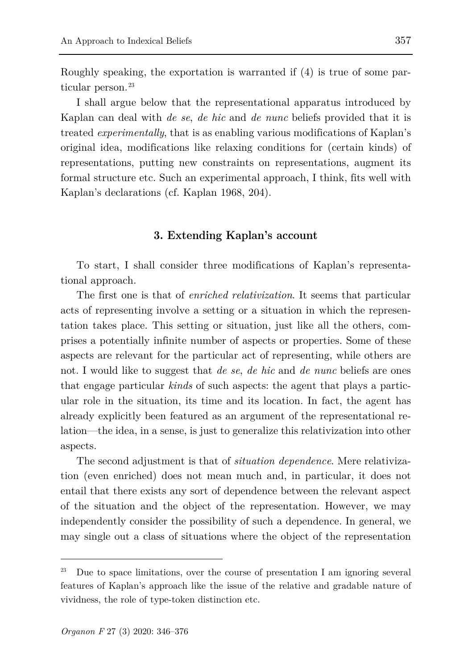Roughly speaking, the exportation is warranted if (4) is true of some particular person. [23](#page-11-0)

I shall argue below that the representational apparatus introduced by Kaplan can deal with *de se*, *de hic* and *de nunc* beliefs provided that it is treated *experimentally*, that is as enabling various modifications of Kaplan's original idea, modifications like relaxing conditions for (certain kinds) of representations, putting new constraints on representations, augment its formal structure etc. Such an experimental approach, I think, fits well with Kaplan's declarations (cf. Kaplan 1968, 204).

### **3. Extending Kaplan's account**

To start, I shall consider three modifications of Kaplan's representational approach.

The first one is that of *enriched relativization*. It seems that particular acts of representing involve a setting or a situation in which the representation takes place. This setting or situation, just like all the others, comprises a potentially infinite number of aspects or properties. Some of these aspects are relevant for the particular act of representing, while others are not. I would like to suggest that *de se*, *de hic* and *de nunc* beliefs are ones that engage particular *kinds* of such aspects: the agent that plays a particular role in the situation, its time and its location. In fact, the agent has already explicitly been featured as an argument of the representational relation—the idea, in a sense, is just to generalize this relativization into other aspects.

The second adjustment is that of *situation dependence*. Mere relativization (even enriched) does not mean much and, in particular, it does not entail that there exists any sort of dependence between the relevant aspect of the situation and the object of the representation. However, we may independently consider the possibility of such a dependence. In general, we may single out a class of situations where the object of the representation

<span id="page-11-0"></span>Due to space limitations, over the course of presentation I am ignoring several features of Kaplan's approach like the issue of the relative and gradable nature of vividness, the role of type-token distinction etc.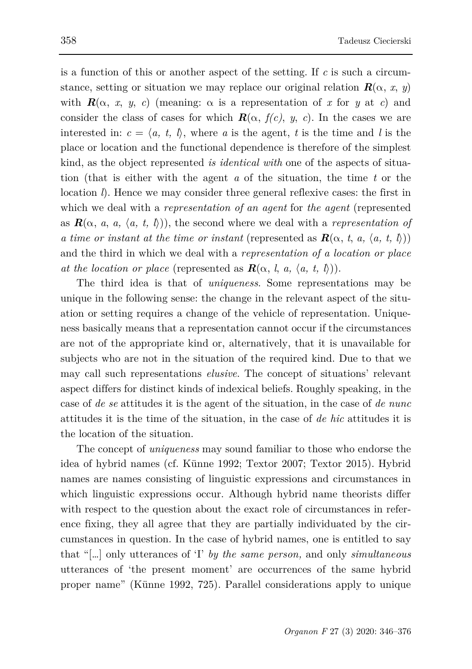is a function of this or another aspect of the setting. If *c* is such a circumstance, setting or situation we may replace our original relation  $\mathbf{R}(\alpha, x, y)$ with  $\mathbf{R}(\alpha, x, y, c)$  (meaning:  $\alpha$  is a representation of x for y at c) and consider the class of cases for which  $\mathbf{R}(\alpha, f(c), y, c)$ . In the cases we are interested in:  $c = \langle a, t, l \rangle$ , where *a* is the agent, *t* is the time and *l* is the place or location and the functional dependence is therefore of the simplest kind, as the object represented *is identical with* one of the aspects of situation (that is either with the agent *a* of the situation, the time *t* or the location *l*). Hence we may consider three general reflexive cases: the first in which we deal with a *representation of an agent* for *the agent* (represented as  $\mathbf{R}(\alpha, a, a, \langle a, t, b \rangle)$ , the second where we deal with a *representation of a time or instant at the time or instant* (represented as  $\mathbf{R}(\alpha, t, a, \langle a, t, l \rangle)$ ) and the third in which we deal with a *representation of a location or place at the location or place* (represented as  $\mathbf{R}(\alpha, l, a, \langle a, t, l \rangle)$ ).

The third idea is that of *uniqueness*. Some representations may be unique in the following sense: the change in the relevant aspect of the situation or setting requires a change of the vehicle of representation. Uniqueness basically means that a representation cannot occur if the circumstances are not of the appropriate kind or, alternatively, that it is unavailable for subjects who are not in the situation of the required kind. Due to that we may call such representations *elusive*. The concept of situations' relevant aspect differs for distinct kinds of indexical beliefs. Roughly speaking, in the case of *de se* attitudes it is the agent of the situation, in the case of *de nunc* attitudes it is the time of the situation, in the case of *de hic* attitudes it is the location of the situation.

The concept of *uniqueness* may sound familiar to those who endorse the idea of hybrid names (cf. Künne 1992; Textor 2007; Textor 2015). Hybrid names are names consisting of linguistic expressions and circumstances in which linguistic expressions occur. Although hybrid name theorists differ with respect to the question about the exact role of circumstances in reference fixing, they all agree that they are partially individuated by the circumstances in question. In the case of hybrid names, one is entitled to say that "[…] only utterances of 'I' *by the same person,* and only *simultaneous*  utterances of 'the present moment' are occurrences of the same hybrid proper name" (Künne 1992, 725). Parallel considerations apply to unique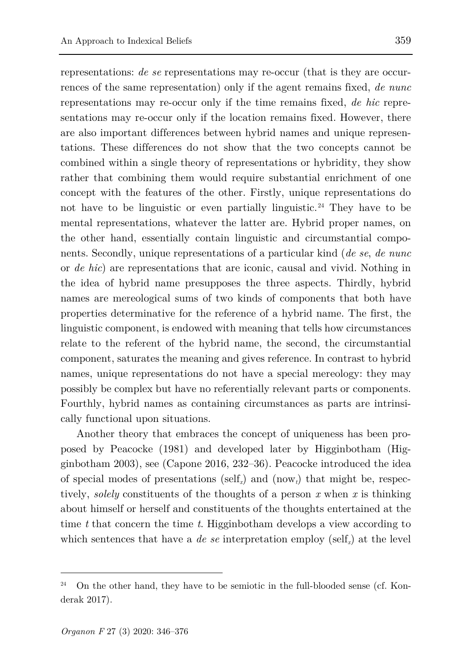representations: *de se* representations may re-occur (that is they are occurrences of the same representation) only if the agent remains fixed, *de nunc* representations may re-occur only if the time remains fixed, *de hic* representations may re-occur only if the location remains fixed. However, there are also important differences between hybrid names and unique representations. These differences do not show that the two concepts cannot be combined within a single theory of representations or hybridity, they show rather that combining them would require substantial enrichment of one concept with the features of the other. Firstly, unique representations do not have to be linguistic or even partially linguistic. [24](#page-13-0) They have to be mental representations, whatever the latter are. Hybrid proper names, on the other hand, essentially contain linguistic and circumstantial components. Secondly, unique representations of a particular kind (*de se*, *de nunc* or *de hic*) are representations that are iconic, causal and vivid. Nothing in the idea of hybrid name presupposes the three aspects. Thirdly, hybrid names are mereological sums of two kinds of components that both have properties determinative for the reference of a hybrid name. The first, the linguistic component, is endowed with meaning that tells how circumstances relate to the referent of the hybrid name, the second, the circumstantial component, saturates the meaning and gives reference. In contrast to hybrid names, unique representations do not have a special mereology: they may possibly be complex but have no referentially relevant parts or components. Fourthly, hybrid names as containing circumstances as parts are intrinsically functional upon situations.

Another theory that embraces the concept of uniqueness has been proposed by Peacocke (1981) and developed later by Higginbotham (Higginbotham 2003), see (Capone 2016, 232–36). Peacocke introduced the idea of special modes of presentations (self*x*) and (now*t*) that might be, respectively, *solely* constituents of the thoughts of a person *x* when *x* is thinking about himself or herself and constituents of the thoughts entertained at the time *t* that concern the time *t*. Higginbotham develops a view according to which sentences that have a *de se* interpretation employ (self<sub>x</sub>) at the level

<span id="page-13-0"></span><sup>24</sup> On the other hand, they have to be semiotic in the full-blooded sense (cf. Konderak 2017).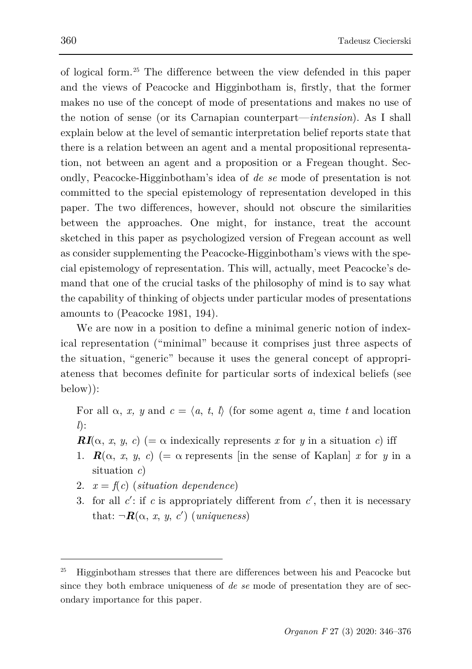of logical form. [25](#page-14-0) The difference between the view defended in this paper and the views of Peacocke and Higginbotham is, firstly, that the former makes no use of the concept of mode of presentations and makes no use of the notion of sense (or its Carnapian counterpart—*intension*). As I shall explain below at the level of semantic interpretation belief reports state that there is a relation between an agent and a mental propositional representation, not between an agent and a proposition or a Fregean thought. Secondly, Peacocke-Higginbotham's idea of *de se* mode of presentation is not committed to the special epistemology of representation developed in this paper. The two differences, however, should not obscure the similarities between the approaches. One might, for instance, treat the account sketched in this paper as psychologized version of Fregean account as well as consider supplementing the Peacocke-Higginbotham's views with the special epistemology of representation. This will, actually, meet Peacocke's demand that one of the crucial tasks of the philosophy of mind is to say what the capability of thinking of objects under particular modes of presentations amounts to (Peacocke 1981, 194).

We are now in a position to define a minimal generic notion of indexical representation ("minimal" because it comprises just three aspects of the situation, "generic" because it uses the general concept of appropriateness that becomes definite for particular sorts of indexical beliefs (see below)):

For all  $\alpha$ , *x*, *y* and  $c = \langle a, t, l \rangle$  (for some agent *a*, time *t* and location *l*):

- *RI*( $\alpha$ , *x*, *y*, *c*) (=  $\alpha$  indexically represents *x* for *y* in a situation *c*) iff
- 1.  $\mathbf{R}(\alpha, x, y, c)$  (=  $\alpha$  represents [in the sense of Kaplan] *x* for *y* in a situation *c*)
- 2.  $x = f(c)$  (*situation dependence*)
- 3. for all *c*′: if *c* is appropriately different from *c*′, then it is necessary that:  $\neg R(\alpha, x, y, c')$  (*uniqueness*)

<span id="page-14-0"></span><sup>25</sup> Higginbotham stresses that there are differences between his and Peacocke but since they both embrace uniqueness of *de se* mode of presentation they are of secondary importance for this paper.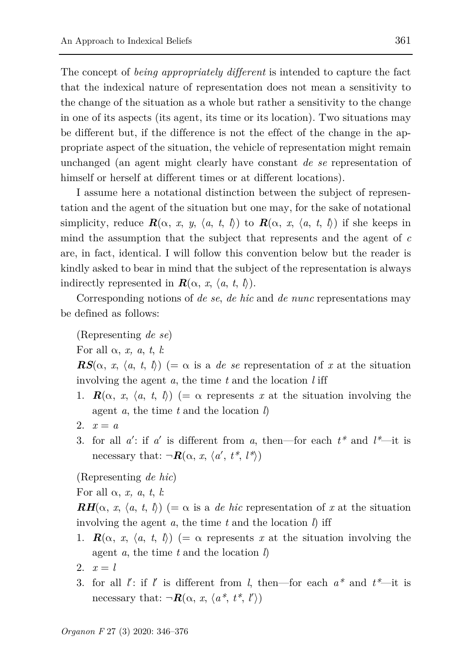The concept of *being appropriately different* is intended to capture the fact that the indexical nature of representation does not mean a sensitivity to the change of the situation as a whole but rather a sensitivity to the change in one of its aspects (its agent, its time or its location). Two situations may be different but, if the difference is not the effect of the change in the appropriate aspect of the situation, the vehicle of representation might remain unchanged (an agent might clearly have constant *de se* representation of himself or herself at different times or at different locations).

I assume here a notational distinction between the subject of representation and the agent of the situation but one may, for the sake of notational simplicity, reduce  $\mathbf{R}(\alpha, x, y, \langle a, t, \ell \rangle)$  to  $\mathbf{R}(\alpha, x, \langle a, t, \ell \rangle)$  if she keeps in mind the assumption that the subject that represents and the agent of *c* are, in fact, identical. I will follow this convention below but the reader is kindly asked to bear in mind that the subject of the representation is always indirectly represented in  $\mathbf{R}(\alpha, x, \langle a, t, \, l \rangle)$ .

Corresponding notions of *de se*, *de hic* and *de nunc* representations may be defined as follows:

(Representing *de se*)

For all  $\alpha$ , *x*, *a*, *t*, *l*:

 $RS(\alpha, x, \langle a, t, t \rangle)$  (=  $\alpha$  is a *de se* representation of x at the situation involving the agent *a*, the time *t* and the location *l* iff

- 1.  $\mathbf{R}(\alpha, x, \langle a, t, b \rangle)$  (=  $\alpha$  represents x at the situation involving the agent *a*, the time *t* and the location *l*)
- 2.  $x = a$
- 3. for all  $a'$ : if  $a'$  is different from  $a$ , then—for each  $t^*$  and  $l^*$ —it is necessary that:  $\neg R(\alpha, x, \langle a', t^*, l^* \rangle)$

(Representing *de hic*)

For all  $\alpha$ , *x*, *a*, *t*, *l*:

 $\mathbf{R}H(\alpha, x, \langle a, t, t \rangle)$  (=  $\alpha$  is a *de hic* representation of x at the situation involving the agent *a*, the time *t* and the location *l*) iff

- 1.  $\mathbf{R}(\alpha, x, \langle a, t, b \rangle)$  (=  $\alpha$  represents x at the situation involving the agent *a*, the time *t* and the location *l*)
- 2.  $x = l$
- 3. for all *l*′: if *l*′ is different from *l*, then—for each *a\** and *t\**—it is necessary that:  $\neg R(\alpha, x, \langle a^*, t^*, l' \rangle)$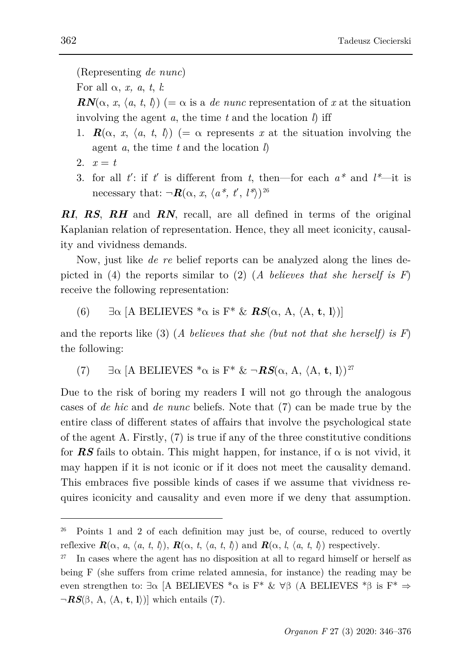For all α, *x, a*, *t*, *l*:

 $\mathbf{R}N(\alpha, x, \langle a, t, t \rangle)$  (=  $\alpha$  is a *de nunc* representation of x at the situation involving the agent *a*, the time *t* and the location *l*) iff

- 1.  $\mathbf{R}(\alpha, x, \langle a, t, b \rangle)$  (=  $\alpha$  represents x at the situation involving the agent *a*, the time *t* and the location *l*)
- 2.  $x = t$
- 3. for all  $t'$ : if  $t'$  is different from  $t$ , then—for each  $a^*$  and  $l^*$ —it is necessary that:  $\neg R(\alpha, x, \langle a^*, t', l^* \rangle)^{26}$  $\neg R(\alpha, x, \langle a^*, t', l^* \rangle)^{26}$  $\neg R(\alpha, x, \langle a^*, t', l^* \rangle)^{26}$

*RI*, *RS*, *RH* and *RN*, recall, are all defined in terms of the original Kaplanian relation of representation. Hence, they all meet iconicity, causality and vividness demands.

Now, just like *de re* belief reports can be analyzed along the lines depicted in (4) the reports similar to (2) (*A believes that she herself is F*) receive the following representation:

(6)  $\exists \alpha \ [\text{A BELIEVES} \ast \alpha \ \text{is} \ \text{F} \ast \ \& \ \text{RS}(\alpha, \text{A}, \langle \text{A}, \text{t}, \text{I} \rangle)]$ 

and the reports like (3) (*A believes that she (but not that she herself) is F*) the following:

(7)  $\exists \alpha \ [\text{A BELIEVES} \ast \alpha \text{ is } \text{F}^* \& \neg \text{RS}(\alpha, \text{A}, \langle \text{A}, \text{t}, \text{I} \rangle)^{27}$  $\exists \alpha \ [\text{A BELIEVES} \ast \alpha \text{ is } \text{F}^* \& \neg \text{RS}(\alpha, \text{A}, \langle \text{A}, \text{t}, \text{I} \rangle)^{27}$  $\exists \alpha \ [\text{A BELIEVES} \ast \alpha \text{ is } \text{F}^* \& \neg \text{RS}(\alpha, \text{A}, \langle \text{A}, \text{t}, \text{I} \rangle)^{27}$ 

Due to the risk of boring my readers I will not go through the analogous cases of *de hic* and *de nunc* beliefs. Note that (7) can be made true by the entire class of different states of affairs that involve the psychological state of the agent A. Firstly,  $(7)$  is true if any of the three constitutive conditions for **RS** fails to obtain. This might happen, for instance, if  $\alpha$  is not vivid, it may happen if it is not iconic or if it does not meet the causality demand. This embraces five possible kinds of cases if we assume that vividness requires iconicity and causality and even more if we deny that assumption.

<span id="page-16-0"></span><sup>26</sup> Points 1 and 2 of each definition may just be, of course, reduced to overtly reflexive  $\mathbf{R}(\alpha, a, \langle a, t, l \rangle)$ ,  $\mathbf{R}(\alpha, t, \langle a, t, l \rangle)$  and  $\mathbf{R}(\alpha, l, \langle a, t, l \rangle)$  respectively.

<span id="page-16-1"></span><sup>&</sup>lt;sup>27</sup> In cases where the agent has no disposition at all to regard himself or herself as being F (she suffers from crime related amnesia, for instance) the reading may be even strengthen to: ∃α [A BELIEVES \*α is F\* &  $\forall$ β (A BELIEVES \*β is F\*  $\Rightarrow$ ¬*RS*(β, A, 〈A, **t**, **l**〉)] which entails (7).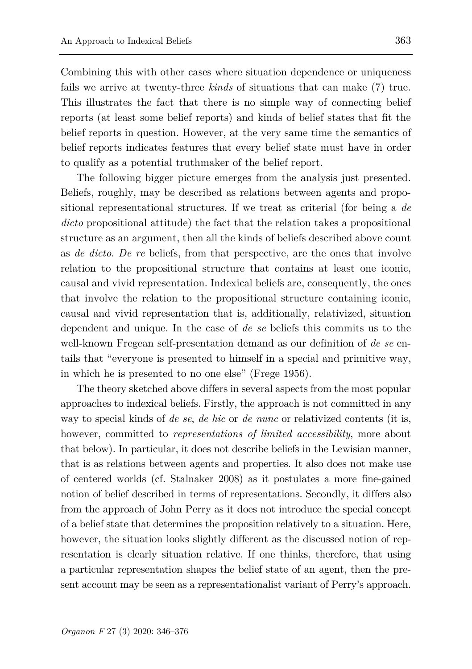Combining this with other cases where situation dependence or uniqueness fails we arrive at twenty-three *kinds* of situations that can make (7) true. This illustrates the fact that there is no simple way of connecting belief reports (at least some belief reports) and kinds of belief states that fit the belief reports in question. However, at the very same time the semantics of belief reports indicates features that every belief state must have in order to qualify as a potential truthmaker of the belief report.

The following bigger picture emerges from the analysis just presented. Beliefs, roughly, may be described as relations between agents and propositional representational structures. If we treat as criterial (for being a *de dicto* propositional attitude) the fact that the relation takes a propositional structure as an argument, then all the kinds of beliefs described above count as *de dicto*. *De re* beliefs, from that perspective, are the ones that involve relation to the propositional structure that contains at least one iconic, causal and vivid representation. Indexical beliefs are, consequently, the ones that involve the relation to the propositional structure containing iconic, causal and vivid representation that is, additionally, relativized, situation dependent and unique. In the case of *de se* beliefs this commits us to the well-known Fregean self-presentation demand as our definition of *de se* entails that "everyone is presented to himself in a special and primitive way, in which he is presented to no one else" (Frege 1956).

The theory sketched above differs in several aspects from the most popular approaches to indexical beliefs. Firstly, the approach is not committed in any way to special kinds of *de se*, *de hic* or *de nunc* or relativized contents (it is, however, committed to *representations of limited accessibility*, more about that below). In particular, it does not describe beliefs in the Lewisian manner, that is as relations between agents and properties. It also does not make use of centered worlds (cf. Stalnaker 2008) as it postulates a more fine-gained notion of belief described in terms of representations. Secondly, it differs also from the approach of John Perry as it does not introduce the special concept of a belief state that determines the proposition relatively to a situation. Here, however, the situation looks slightly different as the discussed notion of representation is clearly situation relative. If one thinks, therefore, that using a particular representation shapes the belief state of an agent, then the present account may be seen as a representationalist variant of Perry's approach.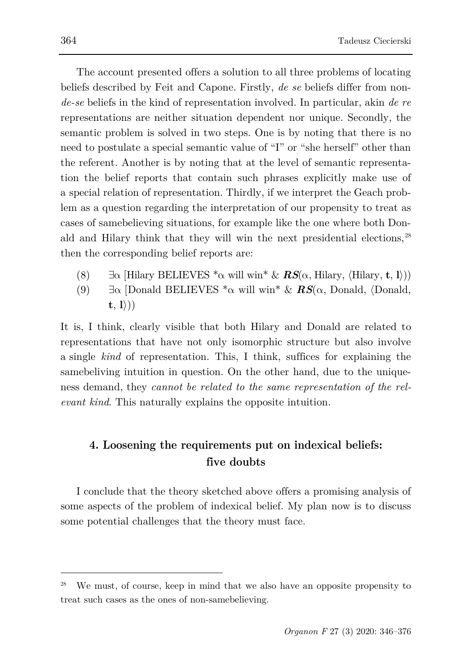The account presented offers a solution to all three problems of locating beliefs described by Feit and Capone. Firstly, *de se* beliefs differ from non*de-se* beliefs in the kind of representation involved. In particular, akin *de re* representations are neither situation dependent nor unique. Secondly, the semantic problem is solved in two steps. One is by noting that there is no need to postulate a special semantic value of "I" or "she herself" other than the referent. Another is by noting that at the level of semantic representation the belief reports that contain such phrases explicitly make use of a special relation of representation. Thirdly, if we interpret the Geach problem as a question regarding the interpretation of our propensity to treat as cases of samebelieving situations, for example like the one where both Donald and Hilary think that they will win the next presidential elections, [28](#page-18-0) then the corresponding belief reports are:

- (8)  $\exists \alpha$  [Hilary BELIEVES  $^*\alpha$  will win<sup>\*</sup> &  $RS(\alpha, \text{Hilary}, \langle \text{Hilary}, \mathbf{t}, \mathbf{l} \rangle)$ )
- (9)  $\exists \alpha$  [Donald BELIEVES  $^*\alpha$  will win<sup>\*</sup> & **RS**( $\alpha$ , Donald,  $\langle$ Donald, **t**, **l**〉))

It is, I think, clearly visible that both Hilary and Donald are related to representations that have not only isomorphic structure but also involve a single *kind* of representation. This, I think, suffices for explaining the samebeliving intuition in question. On the other hand, due to the uniqueness demand, they *cannot be related to the same representation of the relevant kind*. This naturally explains the opposite intuition.

# **4. Loosening the requirements put on indexical beliefs: five doubts**

I conclude that the theory sketched above offers a promising analysis of some aspects of the problem of indexical belief. My plan now is to discuss some potential challenges that the theory must face.

<span id="page-18-0"></span>We must, of course, keep in mind that we also have an opposite propensity to treat such cases as the ones of non-samebelieving.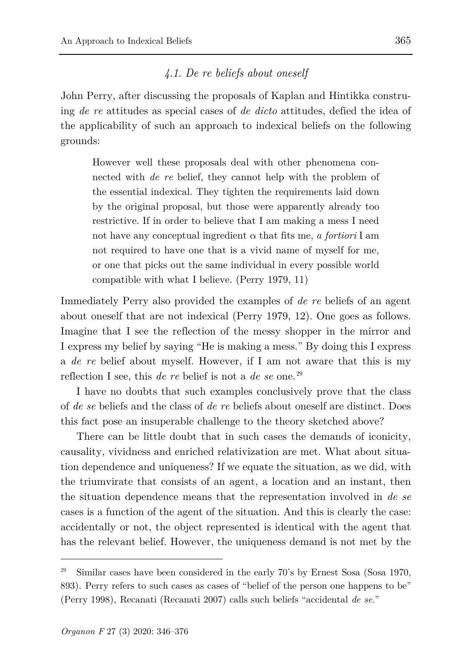### *4.1. De re beliefs about oneself*

John Perry, after discussing the proposals of Kaplan and Hintikka construing *de re* attitudes as special cases of *de dicto* attitudes, defied the idea of the applicability of such an approach to indexical beliefs on the following grounds:

However well these proposals deal with other phenomena connected with *de re* belief, they cannot help with the problem of the essential indexical. They tighten the requirements laid down by the original proposal, but those were apparently already too restrictive. If in order to believe that I am making a mess I need not have any conceptual ingredient  $\alpha$  that fits me, *a fortiori* I am not required to have one that is a vivid name of myself for me, or one that picks out the same individual in every possible world compatible with what I believe. (Perry 1979, 11)

Immediately Perry also provided the examples of *de re* beliefs of an agent about oneself that are not indexical (Perry 1979, 12). One goes as follows. Imagine that I see the reflection of the messy shopper in the mirror and I express my belief by saying "He is making a mess." By doing this I express a *de re* belief about myself. However, if I am not aware that this is my reflection I see, this *de re* belief is not a *de se* one. [29](#page-19-0)

I have no doubts that such examples conclusively prove that the class of *de se* beliefs and the class of *de re* beliefs about oneself are distinct. Does this fact pose an insuperable challenge to the theory sketched above?

There can be little doubt that in such cases the demands of iconicity, causality, vividness and enriched relativization are met. What about situation dependence and uniqueness? If we equate the situation, as we did, with the triumvirate that consists of an agent, a location and an instant, then the situation dependence means that the representation involved in *de se* cases is a function of the agent of the situation. And this is clearly the case: accidentally or not, the object represented is identical with the agent that has the relevant belief. However, the uniqueness demand is not met by the

<span id="page-19-0"></span><sup>29</sup> Similar cases have been considered in the early 70's by Ernest Sosa (Sosa 1970, 893). Perry refers to such cases as cases of "belief of the person one happens to be" (Perry 1998), Recanati (Recanati 2007) calls such beliefs "accidental *de se*."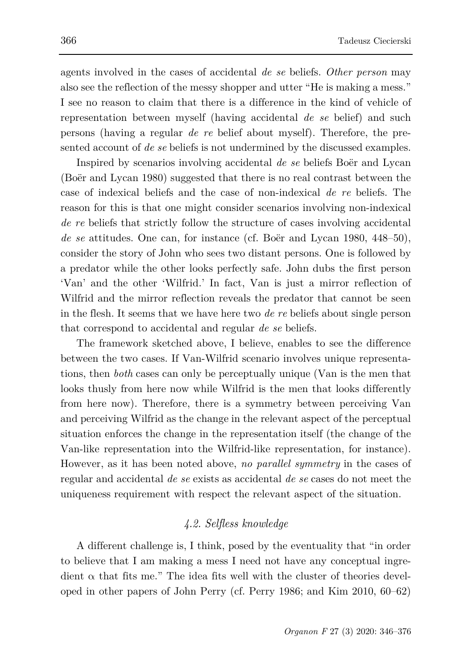agents involved in the cases of accidental *de se* beliefs. *Other person* may also see the reflection of the messy shopper and utter "He is making a mess." I see no reason to claim that there is a difference in the kind of vehicle of representation between myself (having accidental *de se* belief) and such persons (having a regular *de re* belief about myself). Therefore, the presented account of *de se* beliefs is not undermined by the discussed examples.

Inspired by scenarios involving accidental *de se* beliefs Boër and Lycan (Boër and Lycan 1980) suggested that there is no real contrast between the case of indexical beliefs and the case of non-indexical *de re* beliefs. The reason for this is that one might consider scenarios involving non-indexical *de re* beliefs that strictly follow the structure of cases involving accidental *de se* attitudes. One can, for instance (cf. Boër and Lycan 1980, 448–50), consider the story of John who sees two distant persons. One is followed by a predator while the other looks perfectly safe. John dubs the first person 'Van' and the other 'Wilfrid.' In fact, Van is just a mirror reflection of Wilfrid and the mirror reflection reveals the predator that cannot be seen in the flesh. It seems that we have here two *de re* beliefs about single person that correspond to accidental and regular *de se* beliefs.

The framework sketched above, I believe, enables to see the difference between the two cases. If Van-Wilfrid scenario involves unique representations, then *both* cases can only be perceptually unique (Van is the men that looks thusly from here now while Wilfrid is the men that looks differently from here now). Therefore, there is a symmetry between perceiving Van and perceiving Wilfrid as the change in the relevant aspect of the perceptual situation enforces the change in the representation itself (the change of the Van-like representation into the Wilfrid-like representation, for instance). However, as it has been noted above, *no parallel symmetry* in the cases of regular and accidental *de se* exists as accidental *de se* cases do not meet the uniqueness requirement with respect the relevant aspect of the situation.

# *4.2. Selfless knowledge*

A different challenge is, I think, posed by the eventuality that "in order to believe that I am making a mess I need not have any conceptual ingredient  $\alpha$  that fits me." The idea fits well with the cluster of theories developed in other papers of John Perry (cf. Perry 1986; and Kim 2010, 60–62)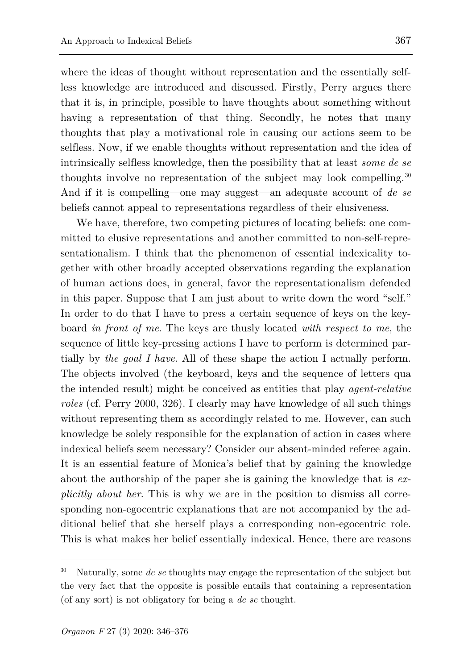where the ideas of thought without representation and the essentially selfless knowledge are introduced and discussed. Firstly, Perry argues there that it is, in principle, possible to have thoughts about something without having a representation of that thing. Secondly, he notes that many thoughts that play a motivational role in causing our actions seem to be selfless. Now, if we enable thoughts without representation and the idea of intrinsically selfless knowledge, then the possibility that at least *some de se* thoughts involve no representation of the subject may look compelling.<sup>[30](#page-21-0)</sup> And if it is compelling—one may suggest—an adequate account of *de se* beliefs cannot appeal to representations regardless of their elusiveness.

We have, therefore, two competing pictures of locating beliefs: one committed to elusive representations and another committed to non-self-representationalism. I think that the phenomenon of essential indexicality together with other broadly accepted observations regarding the explanation of human actions does, in general, favor the representationalism defended in this paper. Suppose that I am just about to write down the word "self." In order to do that I have to press a certain sequence of keys on the keyboard *in front of me*. The keys are thusly located *with respect to me*, the sequence of little key-pressing actions I have to perform is determined partially by *the goal I have*. All of these shape the action I actually perform. The objects involved (the keyboard, keys and the sequence of letters qua the intended result) might be conceived as entities that play *agent-relative roles* (cf. Perry 2000, 326). I clearly may have knowledge of all such things without representing them as accordingly related to me. However, can such knowledge be solely responsible for the explanation of action in cases where indexical beliefs seem necessary? Consider our absent-minded referee again. It is an essential feature of Monica's belief that by gaining the knowledge about the authorship of the paper she is gaining the knowledge that is *explicitly about her*. This is why we are in the position to dismiss all corresponding non-egocentric explanations that are not accompanied by the additional belief that she herself plays a corresponding non-egocentric role. This is what makes her belief essentially indexical. Hence, there are reasons

<span id="page-21-0"></span><sup>30</sup> Naturally, some *de se* thoughts may engage the representation of the subject but the very fact that the opposite is possible entails that containing a representation (of any sort) is not obligatory for being a *de se* thought.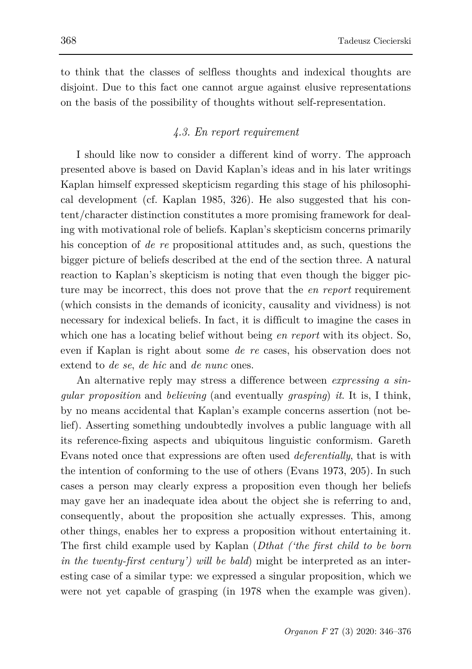to think that the classes of selfless thoughts and indexical thoughts are disjoint. Due to this fact one cannot argue against elusive representations on the basis of the possibility of thoughts without self-representation.

# *4.3. En report requirement*

I should like now to consider a different kind of worry. The approach presented above is based on David Kaplan's ideas and in his later writings Kaplan himself expressed skepticism regarding this stage of his philosophical development (cf. Kaplan 1985, 326). He also suggested that his content/character distinction constitutes a more promising framework for dealing with motivational role of beliefs. Kaplan's skepticism concerns primarily his conception of *de re* propositional attitudes and, as such, questions the bigger picture of beliefs described at the end of the section three. A natural reaction to Kaplan's skepticism is noting that even though the bigger picture may be incorrect, this does not prove that the *en report* requirement (which consists in the demands of iconicity, causality and vividness) is not necessary for indexical beliefs. In fact, it is difficult to imagine the cases in which one has a locating belief without being *en report* with its object. So, even if Kaplan is right about some *de re* cases, his observation does not extend to *de se*, *de hic* and *de nunc* ones.

An alternative reply may stress a difference between *expressing a singular proposition* and *believing* (and eventually *grasping*) *it*. It is, I think, by no means accidental that Kaplan's example concerns assertion (not belief). Asserting something undoubtedly involves a public language with all its reference-fixing aspects and ubiquitous linguistic conformism. Gareth Evans noted once that expressions are often used *deferentially*, that is with the intention of conforming to the use of others (Evans 1973, 205). In such cases a person may clearly express a proposition even though her beliefs may gave her an inadequate idea about the object she is referring to and, consequently, about the proposition she actually expresses. This, among other things, enables her to express a proposition without entertaining it. The first child example used by Kaplan (*Dthat ('the first child to be born in the twenty-first century') will be bald*) might be interpreted as an interesting case of a similar type: we expressed a singular proposition, which we were not yet capable of grasping (in 1978 when the example was given).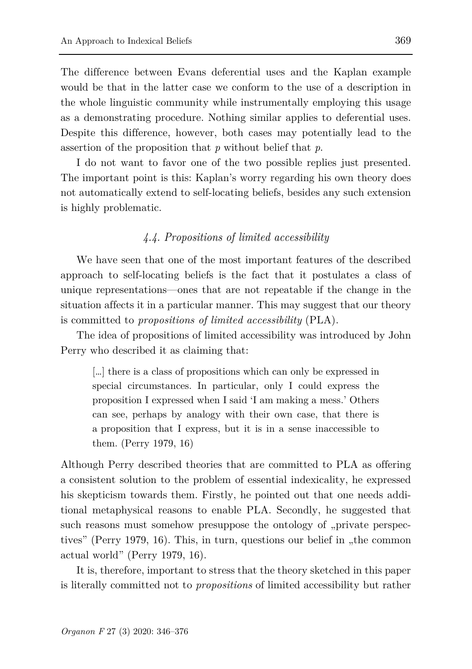The difference between Evans deferential uses and the Kaplan example would be that in the latter case we conform to the use of a description in the whole linguistic community while instrumentally employing this usage as a demonstrating procedure. Nothing similar applies to deferential uses. Despite this difference, however, both cases may potentially lead to the assertion of the proposition that *p* without belief that *p*.

I do not want to favor one of the two possible replies just presented. The important point is this: Kaplan's worry regarding his own theory does not automatically extend to self-locating beliefs, besides any such extension is highly problematic.

### *4.4. Propositions of limited accessibility*

We have seen that one of the most important features of the described approach to self-locating beliefs is the fact that it postulates a class of unique representations—ones that are not repeatable if the change in the situation affects it in a particular manner. This may suggest that our theory is committed to *propositions of limited accessibility* (PLA).

The idea of propositions of limited accessibility was introduced by John Perry who described it as claiming that:

[…] there is a class of propositions which can only be expressed in special circumstances. In particular, only I could express the proposition I expressed when I said 'I am making a mess.' Others can see, perhaps by analogy with their own case, that there is a proposition that I express, but it is in a sense inaccessible to them. (Perry 1979, 16)

Although Perry described theories that are committed to PLA as offering a consistent solution to the problem of essential indexicality, he expressed his skepticism towards them. Firstly, he pointed out that one needs additional metaphysical reasons to enable PLA. Secondly, he suggested that such reasons must somehow presuppose the ontology of "private perspectives" (Perry 1979, 16). This, in turn, questions our belief in "the common actual world" (Perry 1979, 16).

It is, therefore, important to stress that the theory sketched in this paper is literally committed not to *propositions* of limited accessibility but rather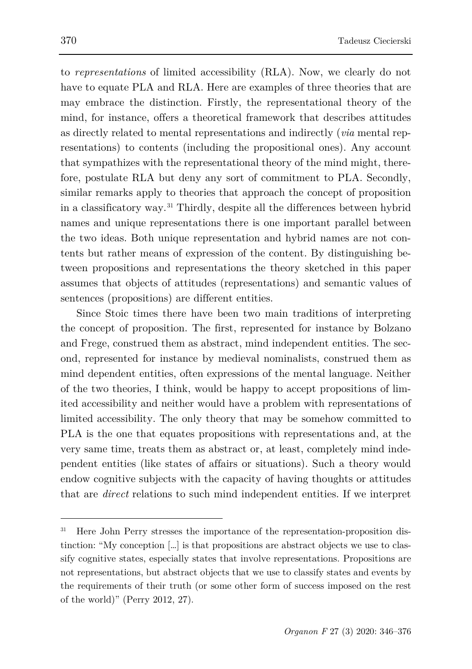to *representations* of limited accessibility (RLA). Now, we clearly do not have to equate PLA and RLA. Here are examples of three theories that are may embrace the distinction. Firstly, the representational theory of the mind, for instance, offers a theoretical framework that describes attitudes as directly related to mental representations and indirectly (*via* mental representations) to contents (including the propositional ones). Any account that sympathizes with the representational theory of the mind might, therefore, postulate RLA but deny any sort of commitment to PLA. Secondly, similar remarks apply to theories that approach the concept of proposition in a classificatory way. [31](#page-24-0) Thirdly, despite all the differences between hybrid names and unique representations there is one important parallel between the two ideas. Both unique representation and hybrid names are not contents but rather means of expression of the content. By distinguishing between propositions and representations the theory sketched in this paper assumes that objects of attitudes (representations) and semantic values of sentences (propositions) are different entities.

Since Stoic times there have been two main traditions of interpreting the concept of proposition. The first, represented for instance by Bolzano and Frege, construed them as abstract, mind independent entities. The second, represented for instance by medieval nominalists, construed them as mind dependent entities, often expressions of the mental language. Neither of the two theories, I think, would be happy to accept propositions of limited accessibility and neither would have a problem with representations of limited accessibility. The only theory that may be somehow committed to PLA is the one that equates propositions with representations and, at the very same time, treats them as abstract or, at least, completely mind independent entities (like states of affairs or situations). Such a theory would endow cognitive subjects with the capacity of having thoughts or attitudes that are *direct* relations to such mind independent entities. If we interpret

<span id="page-24-0"></span><sup>31</sup> Here John Perry stresses the importance of the representation-proposition distinction: "My conception […] is that propositions are abstract objects we use to classify cognitive states, especially states that involve representations. Propositions are not representations, but abstract objects that we use to classify states and events by the requirements of their truth (or some other form of success imposed on the rest of the world)" (Perry 2012, 27).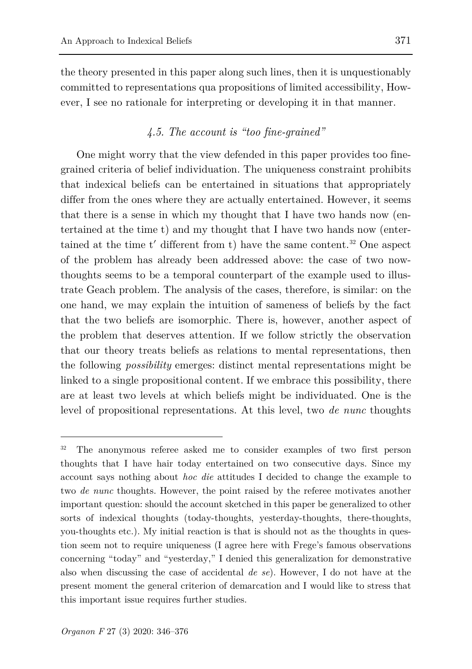the theory presented in this paper along such lines, then it is unquestionably committed to representations qua propositions of limited accessibility, However, I see no rationale for interpreting or developing it in that manner.

## *4.5. The account is "too fine-grained"*

One might worry that the view defended in this paper provides too finegrained criteria of belief individuation. The uniqueness constraint prohibits that indexical beliefs can be entertained in situations that appropriately differ from the ones where they are actually entertained. However, it seems that there is a sense in which my thought that I have two hands now (entertained at the time t) and my thought that I have two hands now (entertained at the time t′ different from t) have the same content. [32](#page-25-0) One aspect of the problem has already been addressed above: the case of two nowthoughts seems to be a temporal counterpart of the example used to illustrate Geach problem. The analysis of the cases, therefore, is similar: on the one hand, we may explain the intuition of sameness of beliefs by the fact that the two beliefs are isomorphic. There is, however, another aspect of the problem that deserves attention. If we follow strictly the observation that our theory treats beliefs as relations to mental representations, then the following *possibility* emerges: distinct mental representations might be linked to a single propositional content. If we embrace this possibility, there are at least two levels at which beliefs might be individuated. One is the level of propositional representations. At this level, two *de nunc* thoughts

<span id="page-25-0"></span><sup>&</sup>lt;sup>32</sup> The anonymous referee asked me to consider examples of two first person thoughts that I have hair today entertained on two consecutive days. Since my account says nothing about *hoc die* attitudes I decided to change the example to two *de nunc* thoughts. However, the point raised by the referee motivates another important question: should the account sketched in this paper be generalized to other sorts of indexical thoughts (today-thoughts, yesterday-thoughts, there-thoughts, you-thoughts etc.). My initial reaction is that is should not as the thoughts in question seem not to require uniqueness (I agree here with Frege's famous observations concerning "today" and "yesterday," I denied this generalization for demonstrative also when discussing the case of accidental *de se*). However, I do not have at the present moment the general criterion of demarcation and I would like to stress that this important issue requires further studies.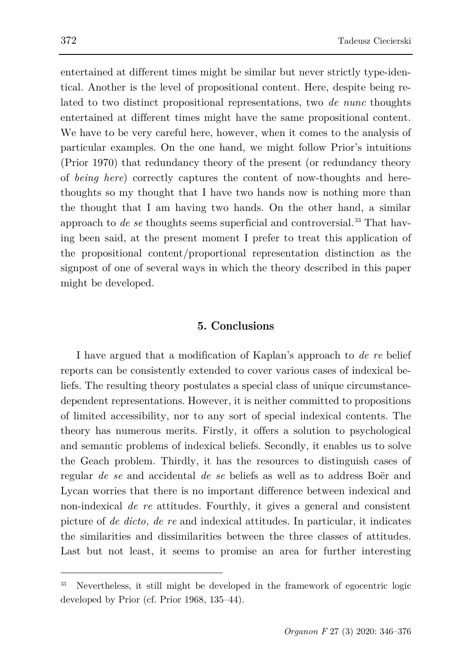entertained at different times might be similar but never strictly type-identical. Another is the level of propositional content. Here, despite being related to two distinct propositional representations, two *de nunc* thoughts entertained at different times might have the same propositional content. We have to be very careful here, however, when it comes to the analysis of particular examples. On the one hand, we might follow Prior's intuitions (Prior 1970) that redundancy theory of the present (or redundancy theory of *being here*) correctly captures the content of now-thoughts and herethoughts so my thought that I have two hands now is nothing more than the thought that I am having two hands. On the other hand, a similar approach to *de se* thoughts seems superficial and controversial. [33](#page-26-0) That having been said, at the present moment I prefer to treat this application of the propositional content/proportional representation distinction as the signpost of one of several ways in which the theory described in this paper might be developed.

### **5. Conclusions**

I have argued that a modification of Kaplan's approach to *de re* belief reports can be consistently extended to cover various cases of indexical beliefs. The resulting theory postulates a special class of unique circumstancedependent representations. However, it is neither committed to propositions of limited accessibility, nor to any sort of special indexical contents. The theory has numerous merits. Firstly, it offers a solution to psychological and semantic problems of indexical beliefs. Secondly, it enables us to solve the Geach problem. Thirdly, it has the resources to distinguish cases of regular *de se* and accidental *de se* beliefs as well as to address Boër and Lycan worries that there is no important difference between indexical and non-indexical *de re* attitudes. Fourthly, it gives a general and consistent picture of *de dicto, de re* and indexical attitudes. In particular, it indicates the similarities and dissimilarities between the three classes of attitudes. Last but not least, it seems to promise an area for further interesting

<span id="page-26-0"></span><sup>33</sup> Nevertheless, it still might be developed in the framework of egocentric logic developed by Prior (cf. Prior 1968, 135–44).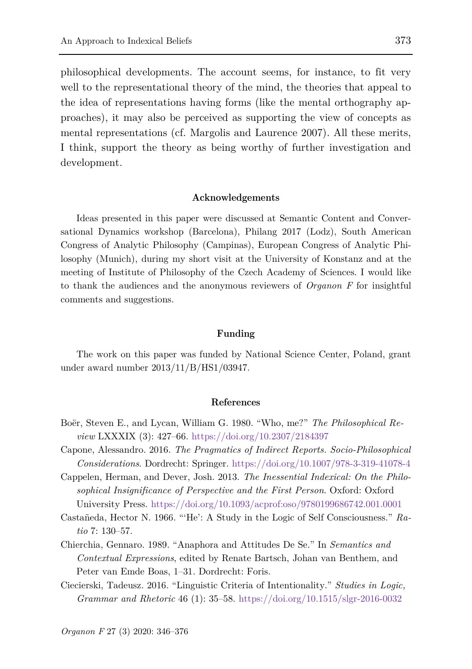philosophical developments. The account seems, for instance, to fit very well to the representational theory of the mind, the theories that appeal to the idea of representations having forms (like the mental orthography approaches), it may also be perceived as supporting the view of concepts as mental representations (cf. Margolis and Laurence 2007). All these merits, I think, support the theory as being worthy of further investigation and development.

#### **Acknowledgements**

Ideas presented in this paper were discussed at Semantic Content and Conversational Dynamics workshop (Barcelona), Philang 2017 (Lodz), South American Congress of Analytic Philosophy (Campinas), European Congress of Analytic Philosophy (Munich), during my short visit at the University of Konstanz and at the meeting of Institute of Philosophy of the Czech Academy of Sciences. I would like to thank the audiences and the anonymous reviewers of *Organon F* for insightful comments and suggestions.

#### **Funding**

The work on this paper was funded by National Science Center, Poland, grant under award number 2013/11/B/HS1/03947.

#### **References**

- Boër, Steven E., and Lycan, William G. 1980. "Who, me?" *The Philosophical Review* LXXXIX (3): 427–66.<https://doi.org/10.2307/2184397>
- Capone, Alessandro. 2016. *The Pragmatics of Indirect Reports. Socio-Philosophical Considerations*. Dordrecht: Springer.<https://doi.org/10.1007/978-3-319-41078-4>
- Cappelen, Herman, and Dever, Josh. 2013. *The Inessential Indexical: On the Philosophical Insignificance of Perspective and the First Person*. Oxford: Oxford University Press.<https://doi.org/10.1093/acprof:oso/9780199686742.001.0001>
- Castañeda, Hector N. 1966. "'He': A Study in the Logic of Self Consciousness." *Ratio* 7: 130–57.
- Chierchia, Gennaro. 1989. "Anaphora and Attitudes De Se." In *Semantics and Contextual Expressions*, edited by Renate Bartsch, Johan van Benthem, and Peter van Emde Boas, 1–31. Dordrecht: Foris.
- Ciecierski, Tadeusz. 2016. "Linguistic Criteria of Intentionality." *Studies in Logic, Grammar and Rhetoric* 46 (1): 35–58.<https://doi.org/10.1515/slgr-2016-0032>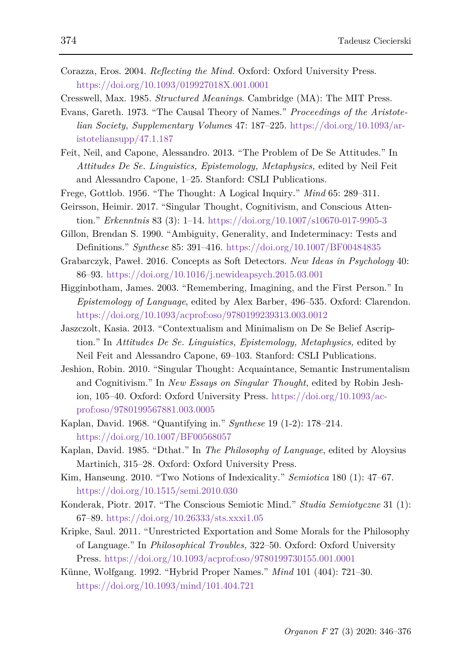- Corazza, Eros. 2004. *Reflecting the Mind.* Oxford: Oxford University Press. <https://doi.org/10.1093/019927018X.001.0001>
- Cresswell, Max. 1985. *Structured Meanings*. Cambridge (MA): The MIT Press.
- Evans, Gareth. 1973. "The Causal Theory of Names." *Proceedings of the Aristotelian Society, Supplementary Volume*s 47: 187–225. [https://doi.org/10.1093/ar](https://doi.org/10.1093/aristoteliansupp/47.1.187)[istoteliansupp/47.1.187](https://doi.org/10.1093/aristoteliansupp/47.1.187)
- Feit, Neil, and Capone, Alessandro. 2013. "The Problem of De Se Attitudes." In *Attitudes De Se. Linguistics, Epistemology, Metaphysics,* edited by Neil Feit and Alessandro Capone, 1–25. Stanford: CSLI Publications.
- Frege, Gottlob. 1956. "The Thought: A Logical Inquiry." *Mind* 65: 289–311.
- Geirsson, Heimir. 2017. "Singular Thought, Cognitivism, and Conscious Attention." *Erkenntnis* 83 (3): 1–14.<https://doi.org/10.1007/s10670-017-9905-3>
- Gillon, Brendan S. 1990. "Ambiguity, Generality, and Indeterminacy: Tests and Definitions." *Synthese* 85: 391–416.<https://doi.org/10.1007/BF00484835>
- Grabarczyk, Paweł. 2016. Concepts as Soft Detectors. *New Ideas in Psychology* 40: 86–93.<https://doi.org/10.1016/j.newideapsych.2015.03.001>
- Higginbotham, James. 2003. "Remembering, Imagining, and the First Person." In *Epistemology of Language*, edited by Alex Barber, 496–535. Oxford: Clarendon. <https://doi.org/10.1093/acprof:oso/9780199239313.003.0012>
- Jaszczolt, Kasia. 2013. "Contextualism and Minimalism on De Se Belief Ascription." In *Attitudes De Se. Linguistics, Epistemology, Metaphysics,* edited by Neil Feit and Alessandro Capone, 69–103. Stanford: CSLI Publications.
- Jeshion, Robin. 2010. "Singular Thought: Acquaintance, Semantic Instrumentalism and Cognitivism." In *New Essays on Singular Thought*, edited by Robin Jeshion, 105–40. Oxford: Oxford University Press. [https://doi.org/10.1093/ac](https://doi.org/10.1093/acprof:oso/9780199567881.003.0005)[prof:oso/9780199567881.003.0005](https://doi.org/10.1093/acprof:oso/9780199567881.003.0005)
- Kaplan, David. 1968. "Quantifying in." *Synthese* 19 (1-2): 178–214. <https://doi.org/10.1007/BF00568057>
- Kaplan, David. 1985. "Dthat." In *The Philosophy of Language*, edited by Aloysius Martinich, 315–28. Oxford: Oxford University Press.
- Kim, Hanseung. 2010. "Two Notions of Indexicality." *Semiotica* 180 (1): 47–67. <https://doi.org/10.1515/semi.2010.030>
- Konderak, Piotr. 2017. "The Conscious Semiotic Mind." *Studia Semiotyczne* 31 (1): 67–89.<https://doi.org/10.26333/sts.xxxi1.05>
- Kripke, Saul. 2011. "Unrestricted Exportation and Some Morals for the Philosophy of Language." In *Philosophical Troubles,* 322–50. Oxford: Oxford University Press.<https://doi.org/10.1093/acprof:oso/9780199730155.001.0001>
- Künne, Wolfgang. 1992. "Hybrid Proper Names." *Mind* 101 (404): 721–30. <https://doi.org/10.1093/mind/101.404.721>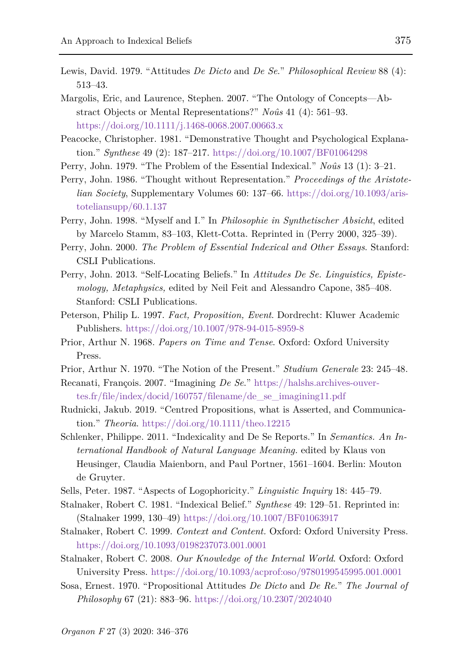- Lewis, David. 1979. "Attitudes *De Dicto* and *De Se*." *Philosophical Review* 88 (4): 513–43.
- Margolis, Eric, and Laurence, Stephen. 2007. "The Ontology of Concepts—Abstract Objects or Mental Representations?" *Noûs* 41 (4): 561–93. <https://doi.org/10.1111/j.1468-0068.2007.00663.x>
- Peacocke, Christopher. 1981. "Demonstrative Thought and Psychological Explanation." *Synthese* 49 (2): 187–217.<https://doi.org/10.1007/BF01064298>
- Perry, John. 1979. "The Problem of the Essential Indexical." *Noûs* 13 (1): 3–21.
- Perry, John. 1986. "Thought without Representation." *Proceedings of the Aristotelian Society*, Supplementary Volumes 60: 137–66. [https://doi.org/10.1093/aris](https://doi.org/10.1093/aristoteliansupp/60.1.137)[toteliansupp/60.1.137](https://doi.org/10.1093/aristoteliansupp/60.1.137)
- Perry, John. 1998. "Myself and I." In *Philosophie in Synthetischer Absicht*, edited by Marcelo Stamm, 83–103, Klett-Cotta. Reprinted in (Perry 2000, 325–39).
- Perry, John. 2000. *The Problem of Essential Indexical and Other Essays*. Stanford: CSLI Publications.
- Perry, John. 2013. "Self-Locating Beliefs." In *Attitudes De Se. Linguistics, Epistemology, Metaphysics,* edited by Neil Feit and Alessandro Capone, 385–408. Stanford: CSLI Publications.
- Peterson, Philip L. 1997. *Fact, Proposition, Event*. Dordrecht: Kluwer Academic Publishers.<https://doi.org/10.1007/978-94-015-8959-8>
- Prior, Arthur N. 1968. *Papers on Time and Tense*. Oxford: Oxford University Press.
- Prior, Arthur N. 1970. "The Notion of the Present." *Studium Generale* 23: 245–48.
- Recanati, François. 2007. "Imagining *De Se*." [https://halshs.archives-ouver](https://halshs.archives-ouvertes.fr/file/index/docid/160757/filename/de_se_imagining11.pdf)[tes.fr/file/index/docid/160757/filename/de\\_se\\_imagining11.pdf](https://halshs.archives-ouvertes.fr/file/index/docid/160757/filename/de_se_imagining11.pdf)
- Rudnicki, Jakub. 2019. "Centred Propositions, what is Asserted, and Communication." *Theoria*. <https://doi.org/10.1111/theo.12215>
- Schlenker, Philippe. 2011. "Indexicality and De Se Reports." In *Semantics. An International Handbook of Natural Language Meaning.* edited by Klaus von Heusinger, Claudia Maienborn, and Paul Portner, 1561–1604. Berlin: Mouton de Gruyter.
- Sells, Peter. 1987. "Aspects of Logophoricity." *Linguistic Inquiry* 18: 445–79.
- Stalnaker, Robert C. 1981. "Indexical Belief." *Synthese* 49: 129–51. Reprinted in: (Stalnaker 1999, 130–49)<https://doi.org/10.1007/BF01063917>
- Stalnaker, Robert C. 1999. *Context and Content.* Oxford: Oxford University Press. <https://doi.org/10.1093/0198237073.001.0001>
- Stalnaker, Robert C. 2008. *Our Knowledge of the Internal World*. Oxford: Oxford University Press.<https://doi.org/10.1093/acprof:oso/9780199545995.001.0001>
- Sosa, Ernest. 1970. "Propositional Attitudes *De Dicto* and *De Re*." *The Journal of Philosophy* 67 (21): 883–96.<https://doi.org/10.2307/2024040>